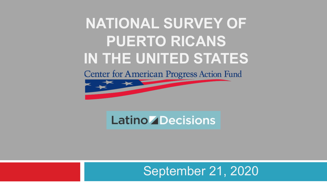## **NATIONAL SURVEY OF PUERTO RICANS IN THE UNITED STATES**

**Center for American Progress Action Fund** 



## **Latino ZDecisions**

## September 21, 2020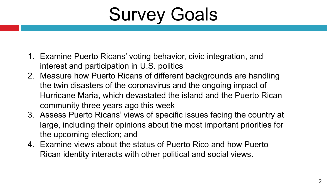Survey Goals

- 1. Examine Puerto Ricans' voting behavior, civic integration, and interest and participation in U.S. politics
- 2. Measure how Puerto Ricans of different backgrounds are handling the twin disasters of the coronavirus and the ongoing impact of Hurricane Maria, which devastated the island and the Puerto Rican community three years ago this week
- 3. Assess Puerto Ricans' views of specific issues facing the country at large, including their opinions about the most important priorities for the upcoming election; and
- 4. Examine views about the status of Puerto Rico and how Puerto Rican identity interacts with other political and social views.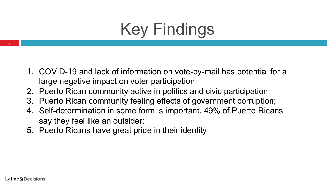# Key Findings

- 1. COVID-19 and lack of information on vote-by-mail has potential for a large negative impact on voter participation;
- 2. Puerto Rican community active in politics and civic participation;
- 3. Puerto Rican community feeling effects of government corruption;
- 4. Self-determination in some form is important, 49% of Puerto Ricans say they feel like an outsider;
- 5. Puerto Ricans have great pride in their identity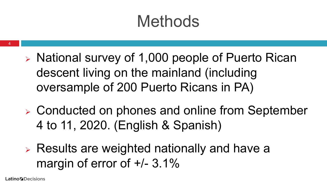# Methods

- $\triangleright$  National survey of 1,000 people of Puerto Rican descent living on the mainland (including oversample of 200 Puerto Ricans in PA)
- $\triangleright$  Conducted on phones and online from September 4 to 11, 2020. (English & Spanish)
- $\triangleright$  Results are weighted nationally and have a margin of error of  $+/- 3.1\%$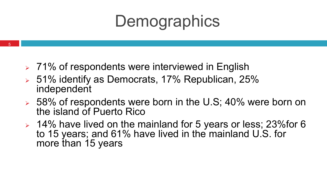# **Demographics**

- $\geq 71\%$  of respondents were interviewed in English
- $> 51\%$  identify as Democrats, 17% Republican, 25% independent
- $\geq 58\%$  of respondents were born in the U.S; 40% were born on the island of Puerto Rico
- $\geq 14\%$  have lived on the mainland for 5 years or less; 23% for 6 to 15 years; and 61% have lived in the mainland U.S. for more than 15 years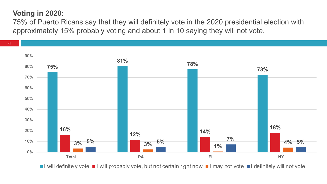#### **Voting in 2020:**

75% of Puerto Ricans say that they will definitely vote in the 2020 presidential election with approximately 15% probably voting and about 1 in 10 saying they will not vote.



I will definitely vote I will probably vote, but not certain right now I may not vote I definitely will not vote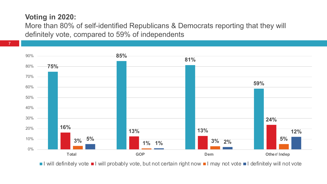#### **Voting in 2020:**

More than 80% of self-identified Republicans & Democrats reporting that they will definitely vote, compared to 59% of independents



I will definitely vote I will probably vote, but not certain right now I may not vote I definitely will not vote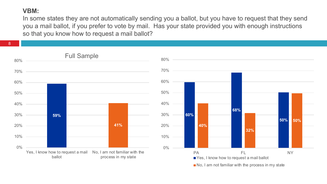#### **VBM:**

In some states they are not automatically sending you a ballot, but you have to request that they send you a mail ballot, if you prefer to vote by mail. Has your state provided you with enough instructions so that you know how to request a mail ballot?

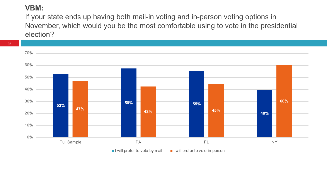#### **VBM:**

9

If your state ends up having both mail-in voting and in-person voting options in November, which would you be the most comfortable using to vote in the presidential election?



I will prefer to vote by mail I will prefer to vote in-person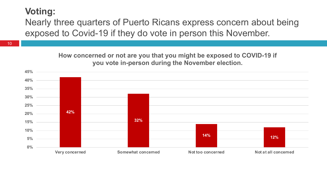## **Voting:**

Nearly three quarters of Puerto Ricans express concern about being exposed to Covid-19 if they do vote in person this November.

> **How concerned or not are you that you might be exposed to COVID-19 if you vote in-person during the November election.**

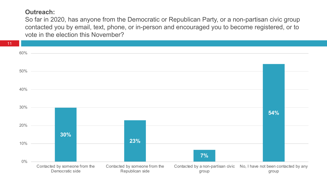#### **Outreach:**

So far in 2020, has anyone from the Democratic or Republican Party, or a non-partisan civic group contacted you by email, text, phone, or in-person and encouraged you to become registered, or to vote in the election this November?

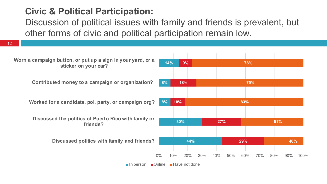## **Civic & Political Participation:**

Discussion of political issues with family and friends is prevalent, but other forms of civic and political participation remain low.

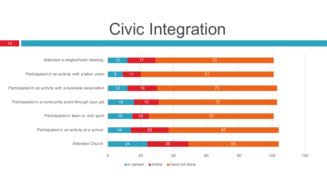## Civic Integration



Participated in an activity with a labor union

Participated in an activity with a business association

Participated in a community event through your job

Participated in team or club sport

Participated in an activity at a school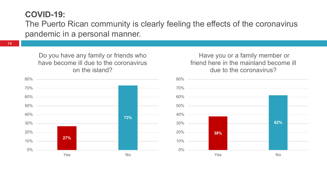#### **COVID-19:**

The Puerto Rican community is clearly feeling the effects of the coronavirus pandemic in a personal manner.

14

Do you have any family or friends who have become ill due to the coronavirus on the island?



#### Have you or a family member or friend here in the mainland become ill due to the coronavirus?

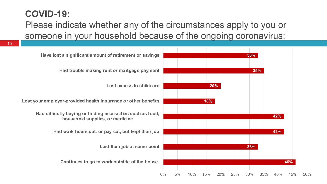## **COVID-19:**

Please indicate whether any of the circumstances apply to you or someone in your household because of the ongoing coronavirus:

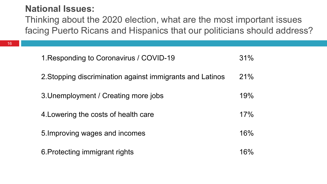### **National Issues:**

Thinking about the 2020 election, what are the most important issues facing Puerto Ricans and Hispanics that our politicians should address?

| 1. Responding to Coronavirus / COVID-19                   | 31% |
|-----------------------------------------------------------|-----|
| 2. Stopping discrimination against immigrants and Latinos | 21% |
| 3. Unemployment / Creating more jobs                      | 19% |
| 4. Lowering the costs of health care                      | 17% |
| 5. Improving wages and incomes                            | 16% |
| 6. Protecting immigrant rights                            | 16% |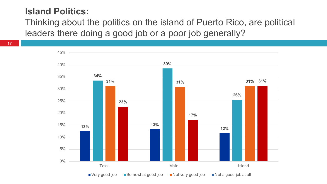## **Island Politics:**

Thinking about the politics on the island of Puerto Rico, are political leaders there doing a good job or a poor job generally?

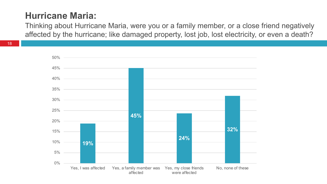## **Hurricane Maria:**

Thinking about Hurricane Maria, were you or a family member, or a close friend negatively affected by the hurricane; like damaged property, lost job, lost electricity, or even a death?

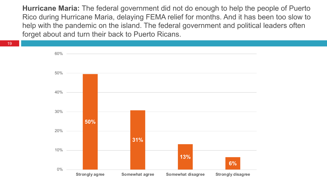**Hurricane Maria:** The federal government did not do enough to help the people of Puerto Rico during Hurricane Maria, delaying FEMA relief for months. And it has been too slow to help with the pandemic on the island. The federal government and political leaders often forget about and turn their back to Puerto Ricans.

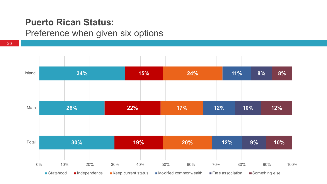### **Puerto Rican Status:**

### Preference when given six options

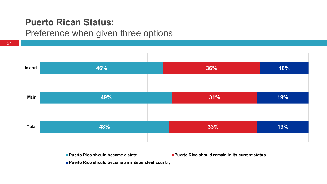## **Puerto Rican Status:**

### Preference when given three options

21



**Puerto Rico should become a state Puerto Rico should remain in its current status**

**Puerto Rico should become an independent country**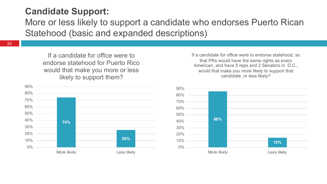## **Candidate Support:**

More or less likely to support a candidate who endorses Puerto Rican Statehood (basic and expanded descriptions)

22

If a candidate for office were to endorse statehood for Puerto Rico would that make you more or less likely to support them?



If a candidate for office were to endorse statehood, so that PRs would have the same rights as every American, and have 5 reps and 2 Senators in D.C., would that make you more likely to support that candidate, or less likely?